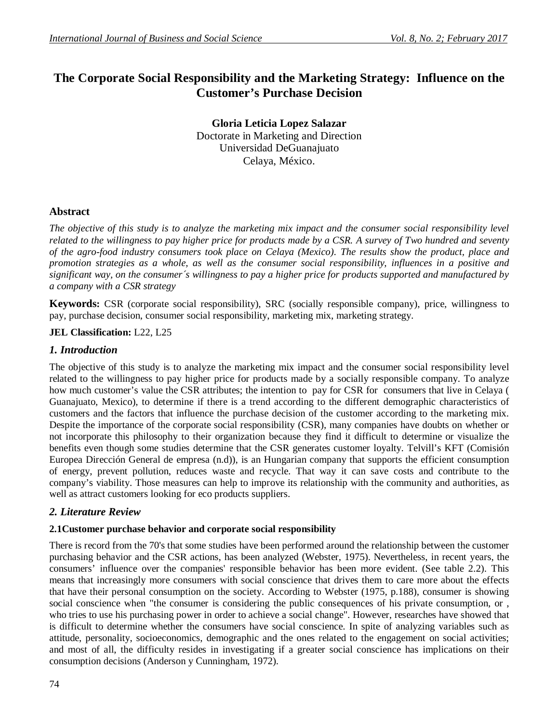# **The Corporate Social Responsibility and the Marketing Strategy: Influence on the Customer's Purchase Decision**

**Gloria Leticia Lopez Salazar** Doctorate in Marketing and Direction Universidad DeGuanajuato Celaya, México.

# **Abstract**

*The objective of this study is to analyze the marketing mix impact and the consumer social responsibility level related to the willingness to pay higher price for products made by a CSR. A survey of Two hundred and seventy of the agro-food industry consumers took place on Celaya (Mexico). The results show the product, place and promotion strategies as a whole, as well as the consumer social responsibility, influences in a positive and significant way, on the consumer´s willingness to pay a higher price for products supported and manufactured by a company with a CSR strategy*

**Keywords:** CSR (corporate social responsibility), SRC (socially responsible company), price, willingness to pay, purchase decision, consumer social responsibility, marketing mix, marketing strategy.

**JEL Classification:** L22, L25

### *1. Introduction*

The objective of this study is to analyze the marketing mix impact and the consumer social responsibility level related to the willingness to pay higher price for products made by a socially responsible company. To analyze how much customer's value the CSR attributes; the intention to pay for CSR for consumers that live in Celaya ( Guanajuato, Mexico), to determine if there is a trend according to the different demographic characteristics of customers and the factors that influence the purchase decision of the customer according to the marketing mix. Despite the importance of the corporate social responsibility (CSR), many companies have doubts on whether or not incorporate this philosophy to their organization because they find it difficult to determine or visualize the benefits even though some studies determine that the CSR generates customer loyalty. Telvill's KFT (Comisión Europea Dirección General de empresa (n.d)), is an Hungarian company that supports the efficient consumption of energy, prevent pollution, reduces waste and recycle. That way it can save costs and contribute to the company's viability. Those measures can help to improve its relationship with the community and authorities, as well as attract customers looking for eco products suppliers.

### *2. Literature Review*

### **2.1Customer purchase behavior and corporate social responsibility**

There is record from the 70's that some studies have been performed around the relationship between the customer purchasing behavior and the CSR actions, has been analyzed (Webster, 1975). Nevertheless, in recent years, the consumers' influence over the companies' responsible behavior has been more evident. (See table 2.2). This means that increasingly more consumers with social conscience that drives them to care more about the effects that have their personal consumption on the society. According to Webster (1975, p.188), consumer is showing social conscience when "the consumer is considering the public consequences of his private consumption, or , who tries to use his purchasing power in order to achieve a social change". However, researches have showed that is difficult to determine whether the consumers have social conscience. In spite of analyzing variables such as attitude, personality, socioeconomics, demographic and the ones related to the engagement on social activities; and most of all, the difficulty resides in investigating if a greater social conscience has implications on their consumption decisions (Anderson y Cunningham, 1972).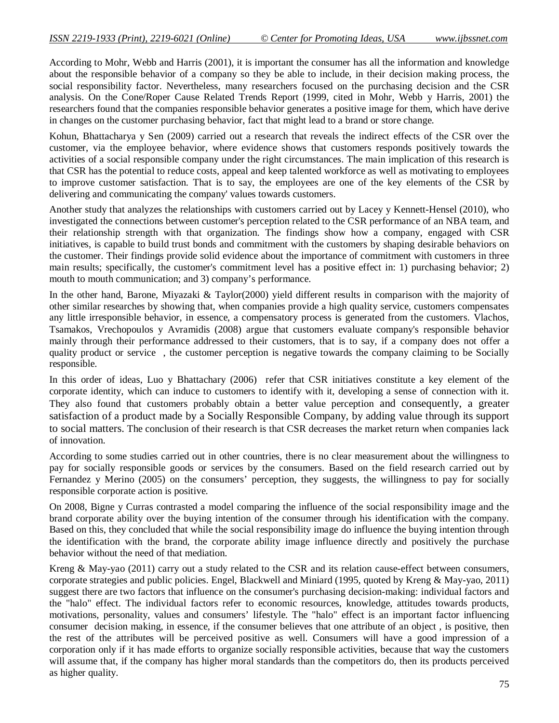According to Mohr, Webb and Harris (2001), it is important the consumer has all the information and knowledge about the responsible behavior of a company so they be able to include, in their decision making process, the social responsibility factor. Nevertheless, many researchers focused on the purchasing decision and the CSR analysis. On the Cone/Roper Cause Related Trends Report (1999, cited in Mohr, Webb y Harris, 2001) the researchers found that the companies responsible behavior generates a positive image for them, which have derive in changes on the customer purchasing behavior, fact that might lead to a brand or store change.

Kohun, Bhattacharya y Sen (2009) carried out a research that reveals the indirect effects of the CSR over the customer, via the employee behavior, where evidence shows that customers responds positively towards the activities of a social responsible company under the right circumstances. The main implication of this research is that CSR has the potential to reduce costs, appeal and keep talented workforce as well as motivating to employees to improve customer satisfaction. That is to say, the employees are one of the key elements of the CSR by delivering and communicating the company' values towards customers.

Another study that analyzes the relationships with customers carried out by Lacey y Kennett-Hensel (2010), who investigated the connections between customer's perception related to the CSR performance of an NBA team, and their relationship strength with that organization. The findings show how a company, engaged with CSR initiatives, is capable to build trust bonds and commitment with the customers by shaping desirable behaviors on the customer. Their findings provide solid evidence about the importance of commitment with customers in three main results; specifically, the customer's commitment level has a positive effect in: 1) purchasing behavior; 2) mouth to mouth communication; and 3) company's performance.

In the other hand, Barone, Miyazaki & Taylor(2000) yield different results in comparison with the majority of other similar researches by showing that, when companies provide a high quality service, customers compensates any little irresponsible behavior, in essence, a compensatory process is generated from the customers. Vlachos, Tsamakos, Vrechopoulos y Avramidis (2008) argue that customers evaluate company's responsible behavior mainly through their performance addressed to their customers, that is to say, if a company does not offer a quality product or service , the customer perception is negative towards the company claiming to be Socially responsible.

In this order of ideas, Luo y Bhattachary (2006) refer that CSR initiatives constitute a key element of the corporate identity, which can induce to customers to identify with it, developing a sense of connection with it. They also found that customers probably obtain a better value perception and consequently, a greater satisfaction of a product made by a Socially Responsible Company, by adding value through its support to social matters. The conclusion of their research is that CSR decreases the market return when companies lack of innovation.

According to some studies carried out in other countries, there is no clear measurement about the willingness to pay for socially responsible goods or services by the consumers. Based on the field research carried out by Fernandez y Merino (2005) on the consumers' perception, they suggests, the willingness to pay for socially responsible corporate action is positive.

On 2008, Bigne y Curras contrasted a model comparing the influence of the social responsibility image and the brand corporate ability over the buying intention of the consumer through his identification with the company. Based on this, they concluded that while the social responsibility image do influence the buying intention through the identification with the brand, the corporate ability image influence directly and positively the purchase behavior without the need of that mediation.

Kreng & May-yao (2011) carry out a study related to the CSR and its relation cause-effect between consumers, corporate strategies and public policies. Engel, Blackwell and Miniard (1995, quoted by Kreng & May-yao, 2011) suggest there are two factors that influence on the consumer's purchasing decision-making: individual factors and the "halo" effect. The individual factors refer to economic resources, knowledge, attitudes towards products, motivations, personality, values and consumers' lifestyle. The "halo" effect is an important factor influencing consumer decision making, in essence, if the consumer believes that one attribute of an object , is positive, then the rest of the attributes will be perceived positive as well. Consumers will have a good impression of a corporation only if it has made efforts to organize socially responsible activities, because that way the customers will assume that, if the company has higher moral standards than the competitors do, then its products perceived as higher quality.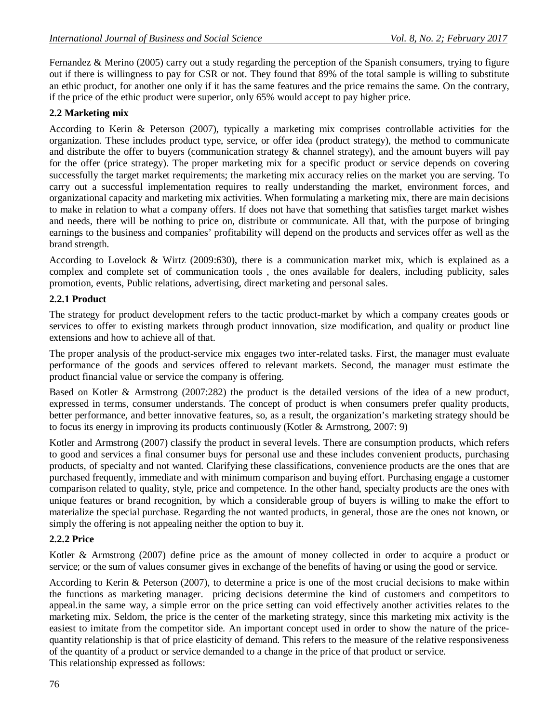Fernandez & Merino (2005) carry out a study regarding the perception of the Spanish consumers, trying to figure out if there is willingness to pay for CSR or not. They found that 89% of the total sample is willing to substitute an ethic product, for another one only if it has the same features and the price remains the same. On the contrary, if the price of the ethic product were superior, only 65% would accept to pay higher price.

## **2.2 Marketing mix**

According to Kerin & Peterson (2007), typically a marketing mix comprises controllable activities for the organization. These includes product type, service, or offer idea (product strategy), the method to communicate and distribute the offer to buyers (communication strategy & channel strategy), and the amount buyers will pay for the offer (price strategy). The proper marketing mix for a specific product or service depends on covering successfully the target market requirements; the marketing mix accuracy relies on the market you are serving. To carry out a successful implementation requires to really understanding the market, environment forces, and organizational capacity and marketing mix activities. When formulating a marketing mix, there are main decisions to make in relation to what a company offers. If does not have that something that satisfies target market wishes and needs, there will be nothing to price on, distribute or communicate. All that, with the purpose of bringing earnings to the business and companies' profitability will depend on the products and services offer as well as the brand strength.

According to Lovelock & Wirtz (2009:630), there is a communication market mix, which is explained as a complex and complete set of communication tools , the ones available for dealers, including publicity, sales promotion, events, Public relations, advertising, direct marketing and personal sales.

### **2.2.1 Product**

The strategy for product development refers to the tactic product-market by which a company creates goods or services to offer to existing markets through product innovation, size modification, and quality or product line extensions and how to achieve all of that.

The proper analysis of the product-service mix engages two inter-related tasks. First, the manager must evaluate performance of the goods and services offered to relevant markets. Second, the manager must estimate the product financial value or service the company is offering.

Based on Kotler & Armstrong (2007:282) the product is the detailed versions of the idea of a new product, expressed in terms, consumer understands. The concept of product is when consumers prefer quality products, better performance, and better innovative features, so, as a result, the organization's marketing strategy should be to focus its energy in improving its products continuously (Kotler & Armstrong, 2007: 9)

Kotler and Armstrong (2007) classify the product in several levels. There are consumption products, which refers to good and services a final consumer buys for personal use and these includes convenient products, purchasing products, of specialty and not wanted. Clarifying these classifications, convenience products are the ones that are purchased frequently, immediate and with minimum comparison and buying effort. Purchasing engage a customer comparison related to quality, style, price and competence. In the other hand, specialty products are the ones with unique features or brand recognition, by which a considerable group of buyers is willing to make the effort to materialize the special purchase. Regarding the not wanted products, in general, those are the ones not known, or simply the offering is not appealing neither the option to buy it.

### **2.2.2 Price**

Kotler & Armstrong (2007) define price as the amount of money collected in order to acquire a product or service; or the sum of values consumer gives in exchange of the benefits of having or using the good or service.

According to Kerin & Peterson (2007), to determine a price is one of the most crucial decisions to make within the functions as marketing manager. pricing decisions determine the kind of customers and competitors to appeal.in the same way, a simple error on the price setting can void effectively another activities relates to the marketing mix. Seldom, the price is the center of the marketing strategy, since this marketing mix activity is the easiest to imitate from the competitor side. An important concept used in order to show the nature of the pricequantity relationship is that of price elasticity of demand. This refers to the measure of the relative responsiveness of the quantity of a product or service demanded to a change in the price of that product or service. This relationship expressed as follows: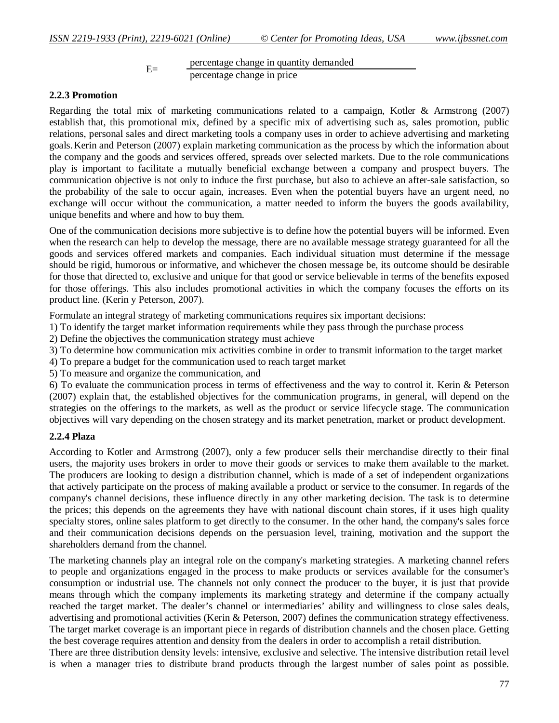E= percentage change in quantity demanded percentage change in price

#### **2.2.3 Promotion**

Regarding the total mix of marketing communications related to a campaign, Kotler & Armstrong (2007) establish that, this promotional mix, defined by a specific mix of advertising such as, sales promotion, public relations, personal sales and direct marketing tools a company uses in order to achieve advertising and marketing goals.Kerin and Peterson (2007) explain marketing communication as the process by which the information about the company and the goods and services offered, spreads over selected markets. Due to the role communications play is important to facilitate a mutually beneficial exchange between a company and prospect buyers. The communication objective is not only to induce the first purchase, but also to achieve an after-sale satisfaction, so the probability of the sale to occur again, increases. Even when the potential buyers have an urgent need, no exchange will occur without the communication, a matter needed to inform the buyers the goods availability, unique benefits and where and how to buy them.

One of the communication decisions more subjective is to define how the potential buyers will be informed. Even when the research can help to develop the message, there are no available message strategy guaranteed for all the goods and services offered markets and companies. Each individual situation must determine if the message should be rigid, humorous or informative, and whichever the chosen message be, its outcome should be desirable for those that directed to, exclusive and unique for that good or service believable in terms of the benefits exposed for those offerings. This also includes promotional activities in which the company focuses the efforts on its product line. (Kerin y Peterson, 2007).

Formulate an integral strategy of marketing communications requires six important decisions:

1) To identify the target market information requirements while they pass through the purchase process

2) Define the objectives the communication strategy must achieve

3) To determine how communication mix activities combine in order to transmit information to the target market

4) To prepare a budget for the communication used to reach target market

5) To measure and organize the communication, and

6) To evaluate the communication process in terms of effectiveness and the way to control it. Kerin & Peterson (2007) explain that, the established objectives for the communication programs, in general, will depend on the strategies on the offerings to the markets, as well as the product or service lifecycle stage. The communication objectives will vary depending on the chosen strategy and its market penetration, market or product development.

### **2.2.4 Plaza**

According to Kotler and Armstrong (2007), only a few producer sells their merchandise directly to their final users, the majority uses brokers in order to move their goods or services to make them available to the market. The producers are looking to design a distribution channel, which is made of a set of independent organizations that actively participate on the process of making available a product or service to the consumer. In regards of the company's channel decisions, these influence directly in any other marketing decision. The task is to determine the prices; this depends on the agreements they have with national discount chain stores, if it uses high quality specialty stores, online sales platform to get directly to the consumer. In the other hand, the company's sales force and their communication decisions depends on the persuasion level, training, motivation and the support the shareholders demand from the channel.

The marketing channels play an integral role on the company's marketing strategies. A marketing channel refers to people and organizations engaged in the process to make products or services available for the consumer's consumption or industrial use. The channels not only connect the producer to the buyer, it is just that provide means through which the company implements its marketing strategy and determine if the company actually reached the target market. The dealer's channel or intermediaries' ability and willingness to close sales deals, advertising and promotional activities (Kerin & Peterson, 2007) defines the communication strategy effectiveness. The target market coverage is an important piece in regards of distribution channels and the chosen place. Getting the best coverage requires attention and density from the dealers in order to accomplish a retail distribution.

There are three distribution density levels: intensive, exclusive and selective. The intensive distribution retail level is when a manager tries to distribute brand products through the largest number of sales point as possible.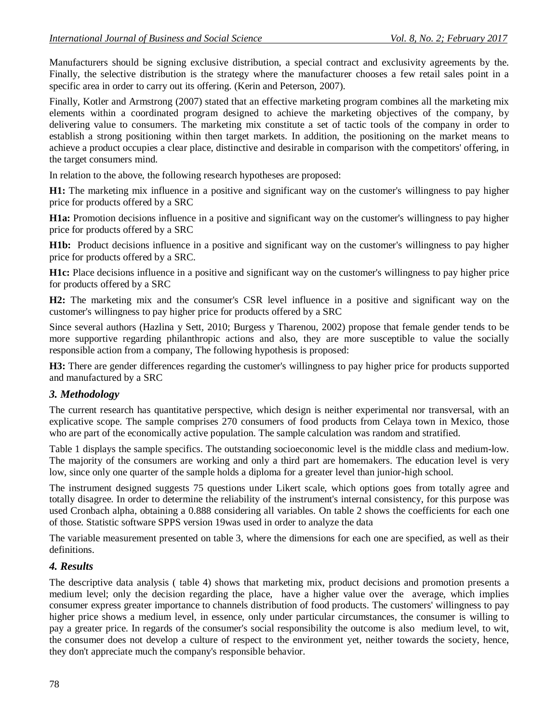Manufacturers should be signing exclusive distribution, a special contract and exclusivity agreements by the. Finally, the selective distribution is the strategy where the manufacturer chooses a few retail sales point in a specific area in order to carry out its offering. (Kerin and Peterson, 2007).

Finally, Kotler and Armstrong (2007) stated that an effective marketing program combines all the marketing mix elements within a coordinated program designed to achieve the marketing objectives of the company, by delivering value to consumers. The marketing mix constitute a set of tactic tools of the company in order to establish a strong positioning within then target markets. In addition, the positioning on the market means to achieve a product occupies a clear place, distinctive and desirable in comparison with the competitors' offering, in the target consumers mind.

In relation to the above, the following research hypotheses are proposed:

**H1:** The marketing mix influence in a positive and significant way on the customer's willingness to pay higher price for products offered by a SRC

**H1a:** Promotion decisions influence in a positive and significant way on the customer's willingness to pay higher price for products offered by a SRC

**H1b:** Product decisions influence in a positive and significant way on the customer's willingness to pay higher price for products offered by a SRC.

**H1c:** Place decisions influence in a positive and significant way on the customer's willingness to pay higher price for products offered by a SRC

**H2:** The marketing mix and the consumer's CSR level influence in a positive and significant way on the customer's willingness to pay higher price for products offered by a SRC

Since several authors (Hazlina y Sett, 2010; Burgess y Tharenou, 2002) propose that female gender tends to be more supportive regarding philanthropic actions and also, they are more susceptible to value the socially responsible action from a company, The following hypothesis is proposed:

**H3:** There are gender differences regarding the customer's willingness to pay higher price for products supported and manufactured by a SRC

### *3. Methodology*

The current research has quantitative perspective, which design is neither experimental nor transversal, with an explicative scope. The sample comprises 270 consumers of food products from Celaya town in Mexico, those who are part of the economically active population. The sample calculation was random and stratified.

Table 1 displays the sample specifics. The outstanding socioeconomic level is the middle class and medium-low. The majority of the consumers are working and only a third part are homemakers. The education level is very low, since only one quarter of the sample holds a diploma for a greater level than junior-high school.

The instrument designed suggests 75 questions under Likert scale, which options goes from totally agree and totally disagree. In order to determine the reliability of the instrument's internal consistency, for this purpose was used Cronbach alpha, obtaining a 0.888 considering all variables. On table 2 shows the coefficients for each one of those. Statistic software SPPS version 19was used in order to analyze the data

The variable measurement presented on table 3, where the dimensions for each one are specified, as well as their definitions.

### *4. Results*

The descriptive data analysis ( table 4) shows that marketing mix, product decisions and promotion presents a medium level; only the decision regarding the place, have a higher value over the average, which implies consumer express greater importance to channels distribution of food products. The customers' willingness to pay higher price shows a medium level, in essence, only under particular circumstances, the consumer is willing to pay a greater price. In regards of the consumer's social responsibility the outcome is also medium level, to wit, the consumer does not develop a culture of respect to the environment yet, neither towards the society, hence, they don't appreciate much the company's responsible behavior.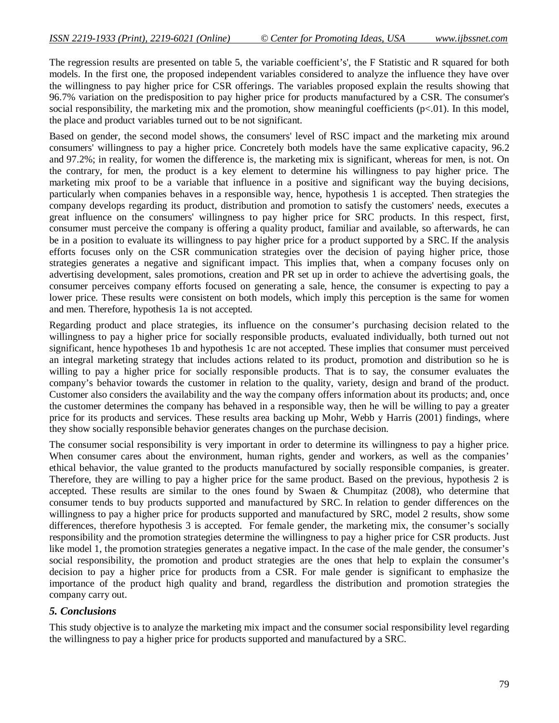The regression results are presented on table 5, the variable coefficient's', the F Statistic and R squared for both models. In the first one, the proposed independent variables considered to analyze the influence they have over the willingness to pay higher price for CSR offerings. The variables proposed explain the results showing that 96.7% variation on the predisposition to pay higher price for products manufactured by a CSR. The consumer's social responsibility, the marketing mix and the promotion, show meaningful coefficients ( $p<.01$ ). In this model, the place and product variables turned out to be not significant.

Based on gender, the second model shows, the consumers' level of RSC impact and the marketing mix around consumers' willingness to pay a higher price. Concretely both models have the same explicative capacity, 96.2 and 97.2%; in reality, for women the difference is, the marketing mix is significant, whereas for men, is not. On the contrary, for men, the product is a key element to determine his willingness to pay higher price. The marketing mix proof to be a variable that influence in a positive and significant way the buying decisions, particularly when companies behaves in a responsible way, hence, hypothesis 1 is accepted. Then strategies the company develops regarding its product, distribution and promotion to satisfy the customers' needs, executes a great influence on the consumers' willingness to pay higher price for SRC products. In this respect, first, consumer must perceive the company is offering a quality product, familiar and available, so afterwards, he can be in a position to evaluate its willingness to pay higher price for a product supported by a SRC. If the analysis efforts focuses only on the CSR communication strategies over the decision of paying higher price, those strategies generates a negative and significant impact. This implies that, when a company focuses only on advertising development, sales promotions, creation and PR set up in order to achieve the advertising goals, the consumer perceives company efforts focused on generating a sale, hence, the consumer is expecting to pay a lower price. These results were consistent on both models, which imply this perception is the same for women and men. Therefore, hypothesis 1a is not accepted.

Regarding product and place strategies, its influence on the consumer's purchasing decision related to the willingness to pay a higher price for socially responsible products, evaluated individually, both turned out not significant, hence hypotheses 1b and hypothesis 1c are not accepted. These implies that consumer must perceived an integral marketing strategy that includes actions related to its product, promotion and distribution so he is willing to pay a higher price for socially responsible products. That is to say, the consumer evaluates the company's behavior towards the customer in relation to the quality, variety, design and brand of the product. Customer also considers the availability and the way the company offers information about its products; and, once the customer determines the company has behaved in a responsible way, then he will be willing to pay a greater price for its products and services. These results area backing up Mohr, Webb y Harris (2001) findings, where they show socially responsible behavior generates changes on the purchase decision.

The consumer social responsibility is very important in order to determine its willingness to pay a higher price. When consumer cares about the environment, human rights, gender and workers, as well as the companies' ethical behavior, the value granted to the products manufactured by socially responsible companies, is greater. Therefore, they are willing to pay a higher price for the same product. Based on the previous, hypothesis 2 is accepted. These results are similar to the ones found by Swaen & Chumpitaz (2008), who determine that consumer tends to buy products supported and manufactured by SRC. In relation to gender differences on the willingness to pay a higher price for products supported and manufactured by SRC, model 2 results, show some differences, therefore hypothesis 3 is accepted. For female gender, the marketing mix, the consumer's socially responsibility and the promotion strategies determine the willingness to pay a higher price for CSR products. Just like model 1, the promotion strategies generates a negative impact. In the case of the male gender, the consumer's social responsibility, the promotion and product strategies are the ones that help to explain the consumer's decision to pay a higher price for products from a CSR. For male gender is significant to emphasize the importance of the product high quality and brand, regardless the distribution and promotion strategies the company carry out.

### *5. Conclusions*

This study objective is to analyze the marketing mix impact and the consumer social responsibility level regarding the willingness to pay a higher price for products supported and manufactured by a SRC.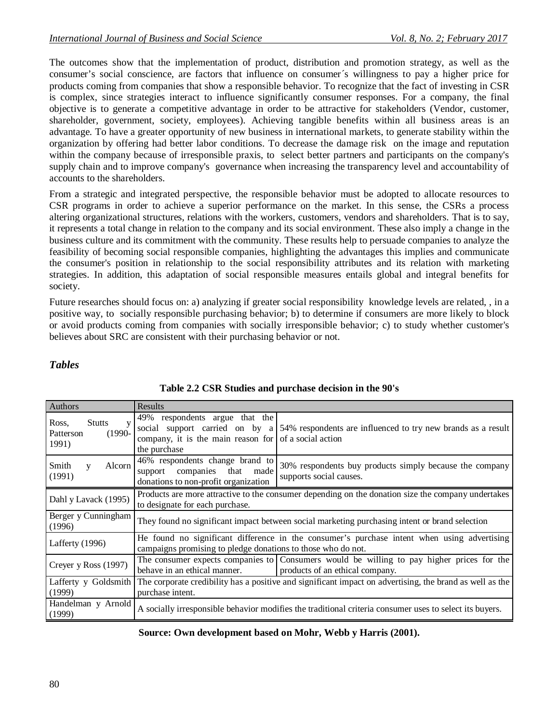The outcomes show that the implementation of product, distribution and promotion strategy, as well as the consumer's social conscience, are factors that influence on consumer´s willingness to pay a higher price for products coming from companies that show a responsible behavior. To recognize that the fact of investing in CSR is complex, since strategies interact to influence significantly consumer responses. For a company, the final objective is to generate a competitive advantage in order to be attractive for stakeholders (Vendor, customer, shareholder, government, society, employees). Achieving tangible benefits within all business areas is an advantage. To have a greater opportunity of new business in international markets, to generate stability within the organization by offering had better labor conditions. To decrease the damage risk on the image and reputation within the company because of irresponsible praxis, to select better partners and participants on the company's supply chain and to improve company's governance when increasing the transparency level and accountability of accounts to the shareholders.

From a strategic and integrated perspective, the responsible behavior must be adopted to allocate resources to CSR programs in order to achieve a superior performance on the market. In this sense, the CSRs a process altering organizational structures, relations with the workers, customers, vendors and shareholders. That is to say, it represents a total change in relation to the company and its social environment. These also imply a change in the business culture and its commitment with the community. These results help to persuade companies to analyze the feasibility of becoming social responsible companies, highlighting the advantages this implies and communicate the consumer's position in relationship to the social responsibility attributes and its relation with marketing strategies. In addition, this adaptation of social responsible measures entails global and integral benefits for society.

Future researches should focus on: a) analyzing if greater social responsibility knowledge levels are related, , in a positive way, to socially responsible purchasing behavior; b) to determine if consumers are more likely to block or avoid products coming from companies with socially irresponsible behavior; c) to study whether customer's believes about SRC are consistent with their purchasing behavior or not.

# *Tables*

| Authors                                                  | Results                                                                                                                                                     |                                                                                                                              |  |  |
|----------------------------------------------------------|-------------------------------------------------------------------------------------------------------------------------------------------------------------|------------------------------------------------------------------------------------------------------------------------------|--|--|
| <b>Stutts</b><br>Ross.<br>$(1990-$<br>Patterson<br>1991) | 49% respondents argue that the<br>company, it is the main reason for $\vert$ of a social action<br>the purchase                                             | social support carried on by a 54% respondents are influenced to try new brands as a result                                  |  |  |
| Smith<br>Alcorn<br>V<br>(1991)                           | 46% respondents change brand to<br>support companies<br>that<br>made<br>donations to non-profit organization                                                | 30% respondents buy products simply because the company<br>supports social causes.                                           |  |  |
| Dahl y Lavack (1995)                                     | Products are more attractive to the consumer depending on the donation size the company undertakes<br>to designate for each purchase.                       |                                                                                                                              |  |  |
| Berger y Cunningham<br>(1996)                            | They found no significant impact between social marketing purchasing intent or brand selection                                                              |                                                                                                                              |  |  |
| Lafferty (1996)                                          | He found no significant difference in the consumer's purchase intent when using advertising<br>campaigns promising to pledge donations to those who do not. |                                                                                                                              |  |  |
| Creyer y Ross (1997)                                     | behave in an ethical manner.                                                                                                                                | The consumer expects companies to Consumers would be willing to pay higher prices for the<br>products of an ethical company. |  |  |
| Lafferty y Goldsmith<br>(1999)                           | The corporate credibility has a positive and significant impact on advertising, the brand as well as the<br>purchase intent.                                |                                                                                                                              |  |  |
| Handelman y Arnold<br>(1999)                             | A socially irresponsible behavior modifies the traditional criteria consumer uses to select its buyers.                                                     |                                                                                                                              |  |  |

### **Table 2.2 CSR Studies and purchase decision in the 90's**

**Source: Own development based on Mohr, Webb y Harris (2001).**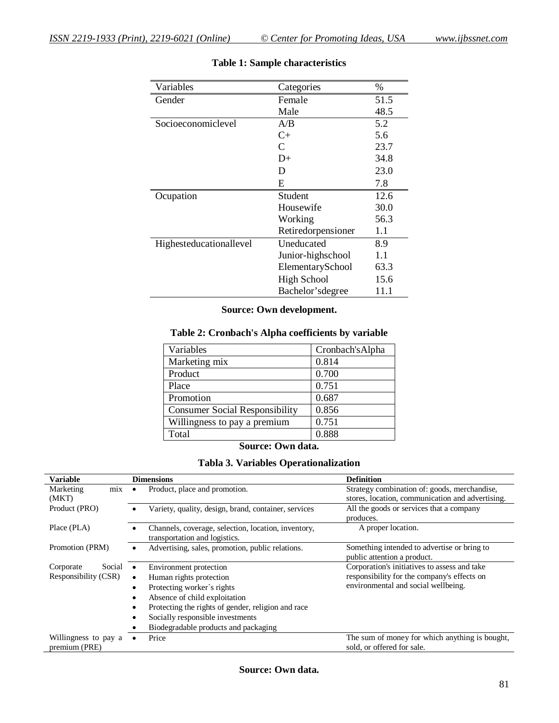| Variables               | Categories         | $\%$ |
|-------------------------|--------------------|------|
| Gender                  | Female             | 51.5 |
|                         | Male               | 48.5 |
| Socioeconomiclevel      | A/B                | 5.2  |
|                         | $C+$               | 5.6  |
|                         | C                  | 23.7 |
|                         | D+                 | 34.8 |
|                         | D                  | 23.0 |
|                         | E                  | 7.8  |
| Ocupation               | Student            | 12.6 |
|                         | Housewife          | 30.0 |
|                         | Working            | 56.3 |
|                         | Retiredorpensioner | 1.1  |
| Highesteducationallevel | Uneducated         | 8.9  |
|                         | Junior-highschool  | 1.1  |
|                         | ElementarySchool   | 63.3 |
|                         | <b>High School</b> | 15.6 |
|                         | Bachelor's degree  | 11.1 |

# **Table 1: Sample characteristics**

### **Source: Own development.**

# **Table 2: Cronbach's Alpha coefficients by variable**

| Variables                             | Cronbach's Alpha |
|---------------------------------------|------------------|
| Marketing mix                         | 0.814            |
| Product                               | 0.700            |
| Place                                 | 0.751            |
| Promotion                             | 0.687            |
| <b>Consumer Social Responsibility</b> | 0.856            |
| Willingness to pay a premium          | 0.751            |
| Total                                 | 0.888            |

#### **Source: Own data.**

# **Tabla 3. Variables Operationalization**

| <b>Variable</b>                       | <b>Dimensions</b>                                                                    | <b>Definition</b>                                                            |
|---------------------------------------|--------------------------------------------------------------------------------------|------------------------------------------------------------------------------|
| Marketing<br>mix                      | Product, place and promotion.                                                        | Strategy combination of: goods, merchandise,                                 |
| (MKT)                                 |                                                                                      | stores, location, communication and advertising.                             |
| Product (PRO)                         | Variety, quality, design, brand, container, services                                 | All the goods or services that a company                                     |
|                                       |                                                                                      | produces.                                                                    |
| Place (PLA)                           | Channels, coverage, selection, location, inventory,<br>transportation and logistics. | A proper location.                                                           |
| Promotion (PRM)                       | Advertising, sales, promotion, public relations.                                     | Something intended to advertise or bring to<br>public attention a product.   |
| Social<br>Corporate                   | Environment protection                                                               | Corporation's initiatives to assess and take                                 |
| Responsibility (CSR)                  | Human rights protection<br>$\bullet$                                                 | responsibility for the company's effects on                                  |
|                                       | Protecting worker's rights<br>٠                                                      | environmental and social wellbeing.                                          |
|                                       | Absence of child exploitation                                                        |                                                                              |
|                                       | Protecting the rights of gender, religion and race<br>٠                              |                                                                              |
|                                       | Socially responsible investments                                                     |                                                                              |
|                                       | Biodegradable products and packaging                                                 |                                                                              |
| Willingness to pay a<br>premium (PRE) | Price                                                                                | The sum of money for which anything is bought,<br>sold, or offered for sale. |

### **Source: Own data.**